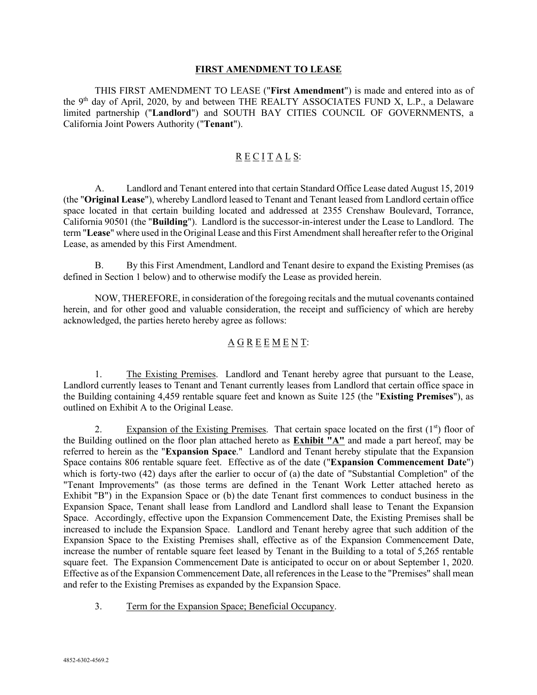### **FIRST AMENDMENT TO LEASE**

THIS FIRST AMENDMENT TO LEASE ("**First Amendment**") is made and entered into as of the 9<sup>th</sup> day of April, 2020, by and between THE REALTY ASSOCIATES FUND X, L.P., a Delaware limited partnership ("**Landlord**") and SOUTH BAY CITIES COUNCIL OF GOVERNMENTS, a California Joint Powers Authority ("**Tenant**").

## R E C I T A L S:

A. Landlord and Tenant entered into that certain Standard Office Lease dated August 15, 2019 (the "**Original Lease**"), whereby Landlord leased to Tenant and Tenant leased from Landlord certain office space located in that certain building located and addressed at 2355 Crenshaw Boulevard, Torrance, California 90501 (the "**Building**"). Landlord is the successor-in-interest under the Lease to Landlord. The term "**Lease**" where used in the Original Lease and this First Amendment shall hereafter refer to the Original Lease, as amended by this First Amendment.

B. By this First Amendment, Landlord and Tenant desire to expand the Existing Premises (as defined in Section 1 below) and to otherwise modify the Lease as provided herein.

NOW, THEREFORE, in consideration of the foregoing recitals and the mutual covenants contained herein, and for other good and valuable consideration, the receipt and sufficiency of which are hereby acknowledged, the parties hereto hereby agree as follows:

## A G R E E M E N T:

1. The Existing Premises. Landlord and Tenant hereby agree that pursuant to the Lease, Landlord currently leases to Tenant and Tenant currently leases from Landlord that certain office space in the Building containing 4,459 rentable square feet and known as Suite 125 (the "**Existing Premises**"), as outlined on Exhibit A to the Original Lease.

2. Expansion of the Existing Premises. That certain space located on the first  $(1<sup>st</sup>)$  floor of the Building outlined on the floor plan attached hereto as **Exhibit "A"** and made a part hereof, may be referred to herein as the "**Expansion Space**." Landlord and Tenant hereby stipulate that the Expansion Space contains 806 rentable square feet. Effective as of the date ("**Expansion Commencement Date**") which is forty-two (42) days after the earlier to occur of (a) the date of "Substantial Completion" of the "Tenant Improvements" (as those terms are defined in the Tenant Work Letter attached hereto as Exhibit "B") in the Expansion Space or (b) the date Tenant first commences to conduct business in the Expansion Space, Tenant shall lease from Landlord and Landlord shall lease to Tenant the Expansion Space. Accordingly, effective upon the Expansion Commencement Date, the Existing Premises shall be increased to include the Expansion Space. Landlord and Tenant hereby agree that such addition of the Expansion Space to the Existing Premises shall, effective as of the Expansion Commencement Date, increase the number of rentable square feet leased by Tenant in the Building to a total of 5,265 rentable square feet. The Expansion Commencement Date is anticipated to occur on or about September 1, 2020. Effective as of the Expansion Commencement Date, all references in the Lease to the "Premises" shall mean and refer to the Existing Premises as expanded by the Expansion Space.

3. Term for the Expansion Space; Beneficial Occupancy.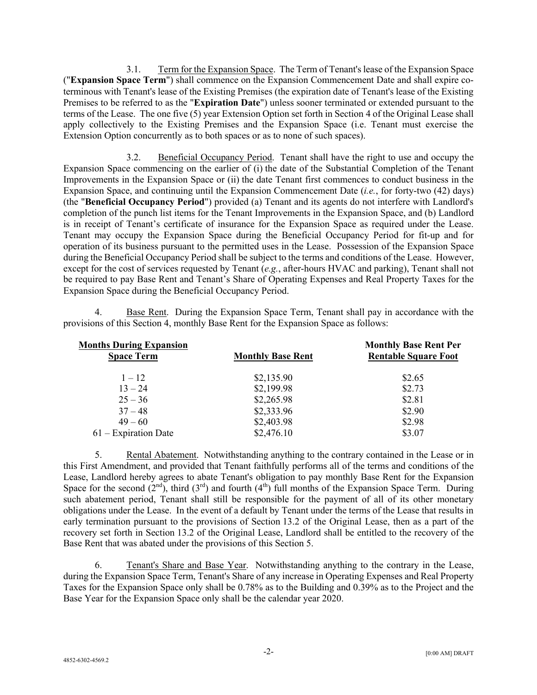3.1. Term for the Expansion Space. The Term of Tenant's lease of the Expansion Space ("**Expansion Space Term**") shall commence on the Expansion Commencement Date and shall expire coterminous with Tenant's lease of the Existing Premises (the expiration date of Tenant's lease of the Existing Premises to be referred to as the "**Expiration Date**") unless sooner terminated or extended pursuant to the terms of the Lease. The one five (5) year Extension Option set forth in Section 4 of the Original Lease shall apply collectively to the Existing Premises and the Expansion Space (i.e. Tenant must exercise the Extension Option concurrently as to both spaces or as to none of such spaces).

3.2. Beneficial Occupancy Period. Tenant shall have the right to use and occupy the Expansion Space commencing on the earlier of (i) the date of the Substantial Completion of the Tenant Improvements in the Expansion Space or (ii) the date Tenant first commences to conduct business in the Expansion Space, and continuing until the Expansion Commencement Date (*i.e.*, for forty-two (42) days) (the "**Beneficial Occupancy Period**") provided (a) Tenant and its agents do not interfere with Landlord's completion of the punch list items for the Tenant Improvements in the Expansion Space, and (b) Landlord is in receipt of Tenant's certificate of insurance for the Expansion Space as required under the Lease. Tenant may occupy the Expansion Space during the Beneficial Occupancy Period for fit-up and for operation of its business pursuant to the permitted uses in the Lease. Possession of the Expansion Space during the Beneficial Occupancy Period shall be subject to the terms and conditions of the Lease. However, except for the cost of services requested by Tenant (*e.g.*, after-hours HVAC and parking), Tenant shall not be required to pay Base Rent and Tenant's Share of Operating Expenses and Real Property Taxes for the Expansion Space during the Beneficial Occupancy Period.

Base Rent. During the Expansion Space Term, Tenant shall pay in accordance with the provisions of this Section 4, monthly Base Rent for the Expansion Space as follows:

|                          | <b>Monthly Base Rent Per</b> |  |
|--------------------------|------------------------------|--|
| <b>Monthly Base Rent</b> | <b>Rentable Square Foot</b>  |  |
| \$2,135.90               | \$2.65                       |  |
| \$2,199.98               | \$2.73                       |  |
| \$2,265.98               | \$2.81                       |  |
| \$2,333.96               | \$2.90                       |  |
| \$2,403.98               | \$2.98                       |  |
| \$2,476.10               | \$3.07                       |  |
|                          |                              |  |

5. Rental Abatement. Notwithstanding anything to the contrary contained in the Lease or in this First Amendment, and provided that Tenant faithfully performs all of the terms and conditions of the Lease, Landlord hereby agrees to abate Tenant's obligation to pay monthly Base Rent for the Expansion Space for the second  $(2<sup>nd</sup>)$ , third  $(3<sup>rd</sup>)$  and fourth  $(4<sup>th</sup>)$  full months of the Expansion Space Term. During such abatement period, Tenant shall still be responsible for the payment of all of its other monetary obligations under the Lease. In the event of a default by Tenant under the terms of the Lease that results in early termination pursuant to the provisions of Section 13.2 of the Original Lease, then as a part of the recovery set forth in Section 13.2 of the Original Lease, Landlord shall be entitled to the recovery of the Base Rent that was abated under the provisions of this Section 5.

6. Tenant's Share and Base Year. Notwithstanding anything to the contrary in the Lease, during the Expansion Space Term, Tenant's Share of any increase in Operating Expenses and Real Property Taxes for the Expansion Space only shall be 0.78% as to the Building and 0.39% as to the Project and the Base Year for the Expansion Space only shall be the calendar year 2020.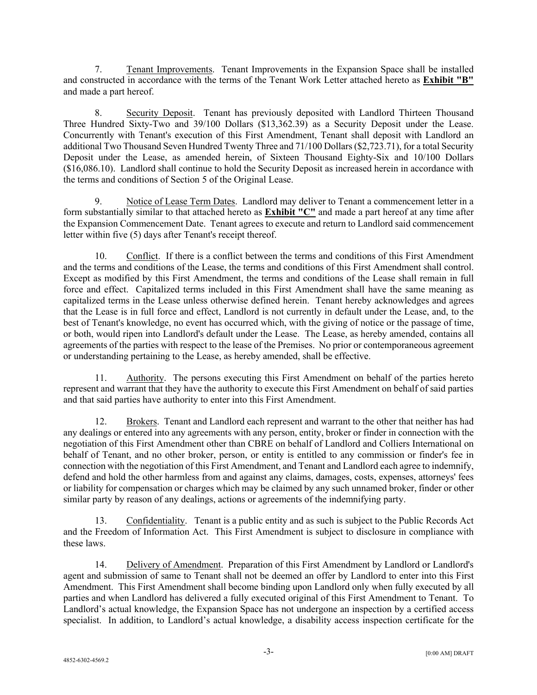7. Tenant Improvements. Tenant Improvements in the Expansion Space shall be installed and constructed in accordance with the terms of the Tenant Work Letter attached hereto as **Exhibit "B"** and made a part hereof.

8. Security Deposit. Tenant has previously deposited with Landlord Thirteen Thousand Three Hundred Sixty-Two and 39/100 Dollars (\$13,362.39) as a Security Deposit under the Lease. Concurrently with Tenant's execution of this First Amendment, Tenant shall deposit with Landlord an additional Two Thousand Seven Hundred Twenty Three and 71/100 Dollars (\$2,723.71), for a total Security Deposit under the Lease, as amended herein, of Sixteen Thousand Eighty-Six and 10/100 Dollars (\$16,086.10). Landlord shall continue to hold the Security Deposit as increased herein in accordance with the terms and conditions of Section 5 of the Original Lease.

Notice of Lease Term Dates. Landlord may deliver to Tenant a commencement letter in a form substantially similar to that attached hereto as **Exhibit "C"** and made a part hereof at any time after the Expansion Commencement Date. Tenant agrees to execute and return to Landlord said commencement letter within five (5) days after Tenant's receipt thereof.

10. Conflict. If there is a conflict between the terms and conditions of this First Amendment and the terms and conditions of the Lease, the terms and conditions of this First Amendment shall control. Except as modified by this First Amendment, the terms and conditions of the Lease shall remain in full force and effect. Capitalized terms included in this First Amendment shall have the same meaning as capitalized terms in the Lease unless otherwise defined herein. Tenant hereby acknowledges and agrees that the Lease is in full force and effect, Landlord is not currently in default under the Lease, and, to the best of Tenant's knowledge, no event has occurred which, with the giving of notice or the passage of time, or both, would ripen into Landlord's default under the Lease. The Lease, as hereby amended, contains all agreements of the parties with respect to the lease of the Premises. No prior or contemporaneous agreement or understanding pertaining to the Lease, as hereby amended, shall be effective.

11. Authority. The persons executing this First Amendment on behalf of the parties hereto represent and warrant that they have the authority to execute this First Amendment on behalf of said parties and that said parties have authority to enter into this First Amendment.

12. Brokers. Tenant and Landlord each represent and warrant to the other that neither has had any dealings or entered into any agreements with any person, entity, broker or finder in connection with the negotiation of this First Amendment other than CBRE on behalf of Landlord and Colliers International on behalf of Tenant, and no other broker, person, or entity is entitled to any commission or finder's fee in connection with the negotiation of this First Amendment, and Tenant and Landlord each agree to indemnify, defend and hold the other harmless from and against any claims, damages, costs, expenses, attorneys' fees or liability for compensation or charges which may be claimed by any such unnamed broker, finder or other similar party by reason of any dealings, actions or agreements of the indemnifying party.

13. Confidentiality. Tenant is a public entity and as such is subject to the Public Records Act and the Freedom of Information Act. This First Amendment is subject to disclosure in compliance with these laws.

14. Delivery of Amendment. Preparation of this First Amendment by Landlord or Landlord's agent and submission of same to Tenant shall not be deemed an offer by Landlord to enter into this First Amendment. This First Amendment shall become binding upon Landlord only when fully executed by all parties and when Landlord has delivered a fully executed original of this First Amendment to Tenant. To Landlord's actual knowledge, the Expansion Space has not undergone an inspection by a certified access specialist. In addition, to Landlord's actual knowledge, a disability access inspection certificate for the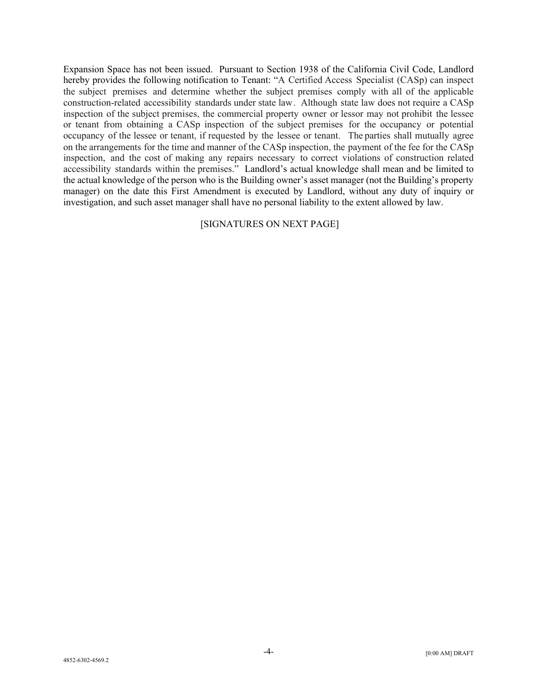Expansion Space has not been issued. Pursuant to Section 1938 of the California Civil Code, Landlord hereby provides the following notification to Tenant: "A Certified Access Specialist (CASp) can inspect the subject premises and determine whether the subject premises comply with all of the applicable construction-related accessibility standards under state law. Although state law does not require a CASp inspection of the subject premises, the commercial property owner or lessor may not prohibit the lessee or tenant from obtaining a CASp inspection of the subject premises for the occupancy or potential occupancy of the lessee or tenant, if requested by the lessee or tenant. The parties shall mutually agree on the arrangements for the time and manner of the CASp inspection, the payment of the fee for the CASp inspection, and the cost of making any repairs necessary to correct violations of construction related accessibility standards within the premises." Landlord's actual knowledge shall mean and be limited to the actual knowledge of the person who is the Building owner's asset manager (not the Building's property manager) on the date this First Amendment is executed by Landlord, without any duty of inquiry or investigation, and such asset manager shall have no personal liability to the extent allowed by law.

## [SIGNATURES ON NEXT PAGE]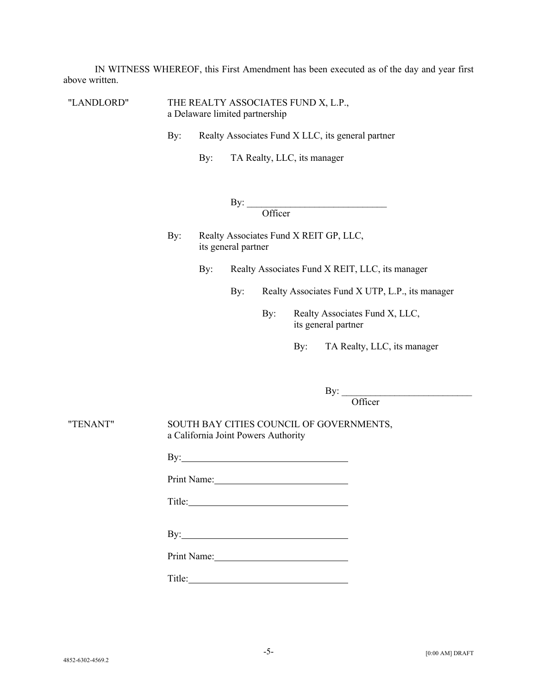IN WITNESS WHEREOF, this First Amendment has been executed as of the day and year first above written.

"LANDLORD" THE REALTY ASSOCIATES FUND X, L.P., a Delaware limited partnership

By: Realty Associates Fund X LLC, its general partner

By: TA Realty, LLC, its manager

 $\mathbf{By:}$ **Officer** 

- By: Realty Associates Fund X REIT GP, LLC, its general partner
	- By: Realty Associates Fund X REIT, LLC, its manager
		- By: Realty Associates Fund X UTP, L.P., its manager
			- By: Realty Associates Fund X, LLC, its general partner
				- By: TA Realty, LLC, its manager

By:  $\_$ **Officer** 

"TENANT" SOUTH BAY CITIES COUNCIL OF GOVERNMENTS, a California Joint Powers Authority

| $\mathbf{By:}\square$ |  |
|-----------------------|--|
| Print Name:           |  |
| Title:                |  |
| $\mathbf{By:}$        |  |
|                       |  |
|                       |  |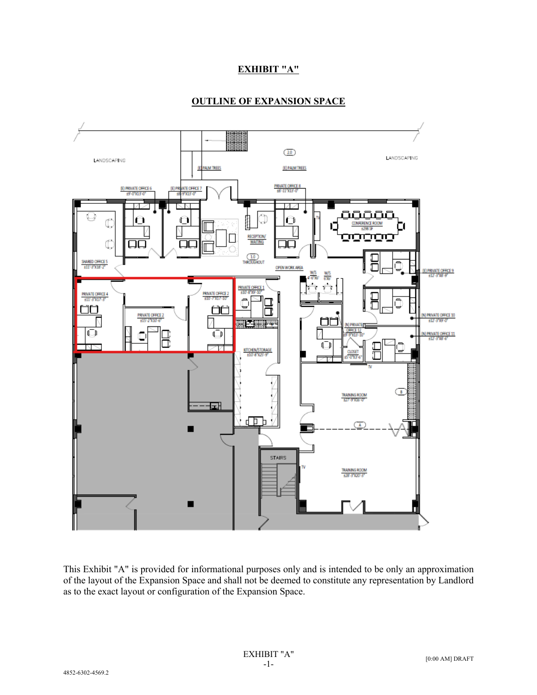# **EXHIBIT "A"**

# **OUTLINE OF EXPANSION SPACE**



This Exhibit "A" is provided for informational purposes only and is intended to be only an approximation of the layout of the Expansion Space and shall not be deemed to constitute any representation by Landlord as to the exact layout or configuration of the Expansion Space.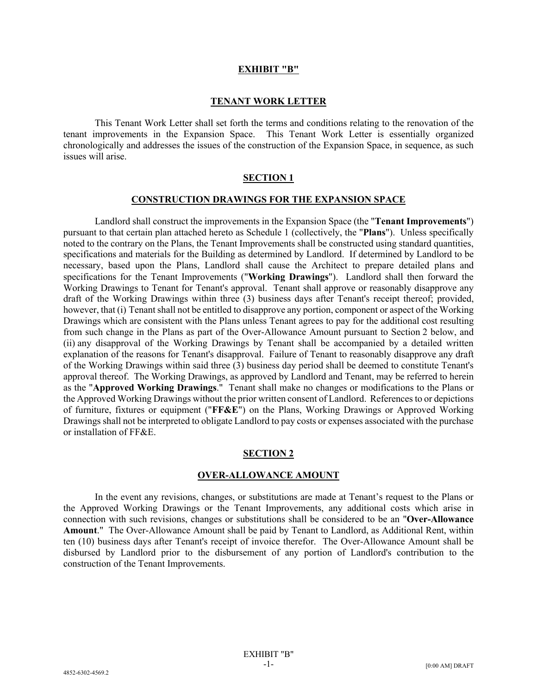#### **EXHIBIT "B"**

#### **TENANT WORK LETTER**

This Tenant Work Letter shall set forth the terms and conditions relating to the renovation of the tenant improvements in the Expansion Space. This Tenant Work Letter is essentially organized chronologically and addresses the issues of the construction of the Expansion Space, in sequence, as such issues will arise.

## **SECTION 1**

#### **CONSTRUCTION DRAWINGS FOR THE EXPANSION SPACE**

Landlord shall construct the improvements in the Expansion Space (the "**Tenant Improvements**") pursuant to that certain plan attached hereto as Schedule 1 (collectively, the "**Plans**"). Unless specifically noted to the contrary on the Plans, the Tenant Improvements shall be constructed using standard quantities, specifications and materials for the Building as determined by Landlord. If determined by Landlord to be necessary, based upon the Plans, Landlord shall cause the Architect to prepare detailed plans and specifications for the Tenant Improvements ("**Working Drawings**"). Landlord shall then forward the Working Drawings to Tenant for Tenant's approval. Tenant shall approve or reasonably disapprove any draft of the Working Drawings within three (3) business days after Tenant's receipt thereof; provided, however, that (i) Tenant shall not be entitled to disapprove any portion, component or aspect of the Working Drawings which are consistent with the Plans unless Tenant agrees to pay for the additional cost resulting from such change in the Plans as part of the Over-Allowance Amount pursuant to Section 2 below, and (ii) any disapproval of the Working Drawings by Tenant shall be accompanied by a detailed written explanation of the reasons for Tenant's disapproval. Failure of Tenant to reasonably disapprove any draft of the Working Drawings within said three (3) business day period shall be deemed to constitute Tenant's approval thereof. The Working Drawings, as approved by Landlord and Tenant, may be referred to herein as the "**Approved Working Drawings**." Tenant shall make no changes or modifications to the Plans or the Approved Working Drawings without the prior written consent of Landlord. References to or depictions of furniture, fixtures or equipment ("**FF&E**") on the Plans, Working Drawings or Approved Working Drawings shall not be interpreted to obligate Landlord to pay costs or expenses associated with the purchase or installation of FF&E.

#### **SECTION 2**

#### **OVER-ALLOWANCE AMOUNT**

In the event any revisions, changes, or substitutions are made at Tenant's request to the Plans or the Approved Working Drawings or the Tenant Improvements, any additional costs which arise in connection with such revisions, changes or substitutions shall be considered to be an "**Over-Allowance Amount**." The Over-Allowance Amount shall be paid by Tenant to Landlord, as Additional Rent, within ten (10) business days after Tenant's receipt of invoice therefor. The Over-Allowance Amount shall be disbursed by Landlord prior to the disbursement of any portion of Landlord's contribution to the construction of the Tenant Improvements.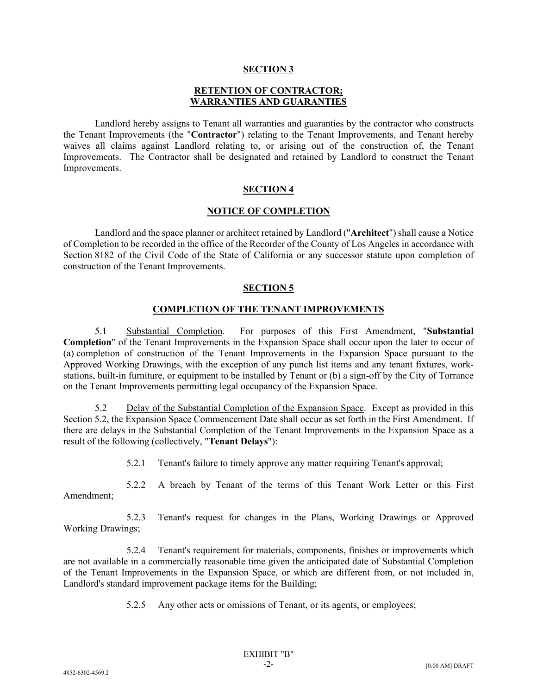#### **SECTION 3**

## **RETENTION OF CONTRACTOR; WARRANTIES AND GUARANTIES**

Landlord hereby assigns to Tenant all warranties and guaranties by the contractor who constructs the Tenant Improvements (the "**Contractor**") relating to the Tenant Improvements, and Tenant hereby waives all claims against Landlord relating to, or arising out of the construction of, the Tenant Improvements. The Contractor shall be designated and retained by Landlord to construct the Tenant Improvements.

### **SECTION 4**

### **NOTICE OF COMPLETION**

Landlord and the space planner or architect retained by Landlord ("**Architect**") shall cause a Notice of Completion to be recorded in the office of the Recorder of the County of Los Angeles in accordance with Section 8182 of the Civil Code of the State of California or any successor statute upon completion of construction of the Tenant Improvements.

## **SECTION 5**

### **COMPLETION OF THE TENANT IMPROVEMENTS**

5.1 Substantial Completion. For purposes of this First Amendment, "**Substantial Completion**" of the Tenant Improvements in the Expansion Space shall occur upon the later to occur of (a) completion of construction of the Tenant Improvements in the Expansion Space pursuant to the Approved Working Drawings, with the exception of any punch list items and any tenant fixtures, workstations, built-in furniture, or equipment to be installed by Tenant or (b) a sign-off by the City of Torrance on the Tenant Improvements permitting legal occupancy of the Expansion Space.

5.2 Delay of the Substantial Completion of the Expansion Space. Except as provided in this Section 5.2, the Expansion Space Commencement Date shall occur as set forth in the First Amendment. If there are delays in the Substantial Completion of the Tenant Improvements in the Expansion Space as a result of the following (collectively, "**Tenant Delays**"):

5.2.1 Tenant's failure to timely approve any matter requiring Tenant's approval;

5.2.2 A breach by Tenant of the terms of this Tenant Work Letter or this First Amendment;

5.2.3 Tenant's request for changes in the Plans, Working Drawings or Approved Working Drawings;

5.2.4 Tenant's requirement for materials, components, finishes or improvements which are not available in a commercially reasonable time given the anticipated date of Substantial Completion of the Tenant Improvements in the Expansion Space, or which are different from, or not included in, Landlord's standard improvement package items for the Building;

5.2.5 Any other acts or omissions of Tenant, or its agents, or employees;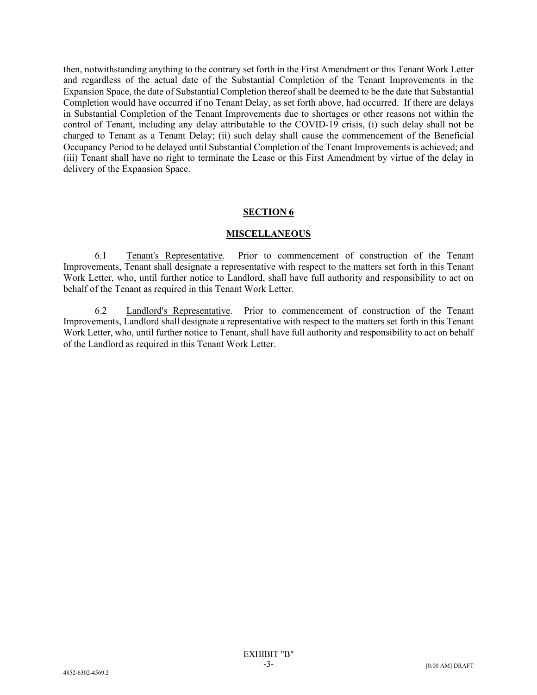then, notwithstanding anything to the contrary set forth in the First Amendment or this Tenant Work Letter and regardless of the actual date of the Substantial Completion of the Tenant Improvements in the Expansion Space, the date of Substantial Completion thereof shall be deemed to be the date that Substantial Completion would have occurred if no Tenant Delay, as set forth above, had occurred. If there are delays in Substantial Completion of the Tenant Improvements due to shortages or other reasons not within the control of Tenant, including any delay attributable to the COVID-19 crisis, (i) such delay shall not be charged to Tenant as a Tenant Delay; (ii) such delay shall cause the commencement of the Beneficial Occupancy Period to be delayed until Substantial Completion of the Tenant Improvements is achieved; and (iii) Tenant shall have no right to terminate the Lease or this First Amendment by virtue of the delay in delivery of the Expansion Space.

## **SECTION 6**

## **MISCELLANEOUS**

6.1 Tenant's Representative. Prior to commencement of construction of the Tenant Improvements, Tenant shall designate a representative with respect to the matters set forth in this Tenant Work Letter, who, until further notice to Landlord, shall have full authority and responsibility to act on behalf of the Tenant as required in this Tenant Work Letter.

6.2 Landlord's Representative. Prior to commencement of construction of the Tenant Improvements, Landlord shall designate a representative with respect to the matters set forth in this Tenant Work Letter, who, until further notice to Tenant, shall have full authority and responsibility to act on behalf of the Landlord as required in this Tenant Work Letter.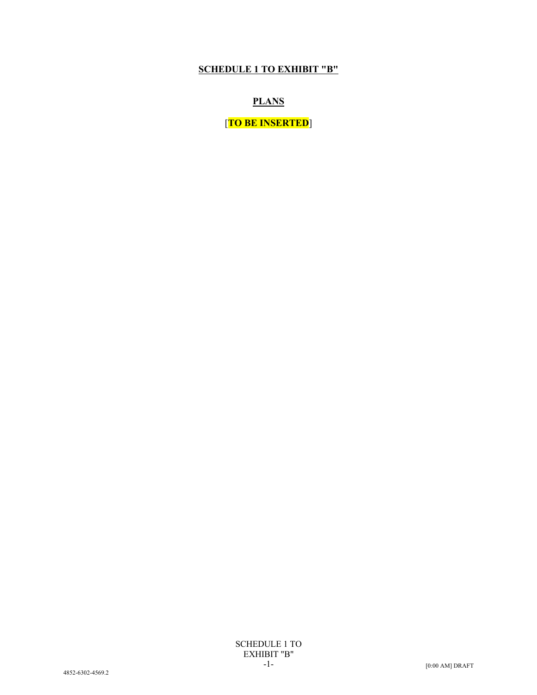# **SCHEDULE 1 TO EXHIBIT "B"**

# **PLANS**

[**TO BE INSERTED**]